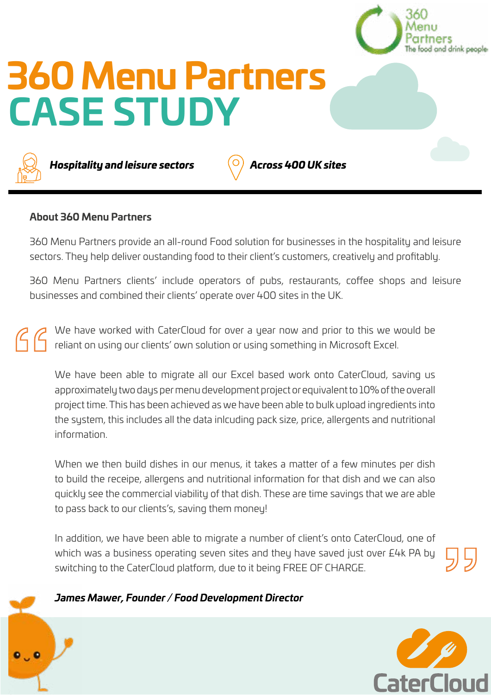

## **About 360 Menu Partners**

360 Menu Partners provide an all-round Food solution for businesses in the hospitality and leisure sectors. They help deliver oustanding food to their client's customers, creatively and profitably.

360 Menu Partners clients' include operators of pubs, restaurants, coffee shops and leisure businesses and combined their clients' operate over 400 sites in the UK.

We have worked with CaterCloud for over a year now and prior to this we would be reliant on using our clients' own solution or using something in Microsoft Excel.

We have been able to migrate all our Excel based work onto CaterCloud, saving us approximately two days per menu development project or equivalent to 10% of the overall project time. This has been achieved as we have been able to bulk upload ingredients into the system, this includes all the data inlcuding pack size, price, allergents and nutritional information.

When we then build dishes in our menus, it takes a matter of a few minutes per dish to build the receipe, allergens and nutritional information for that dish and we can also quickly see the commercial viability of that dish. These are time savings that we are able to pass back to our clients's, saving them money!

In addition, we have been able to migrate a number of client's onto CaterCloud, one of which was a business operating seven sites and they have saved just over £4k PA by switching to the CaterCloud platform, due to it being FREE OF CHARGE.

## *James Mawer, Founder / Food Development Director*